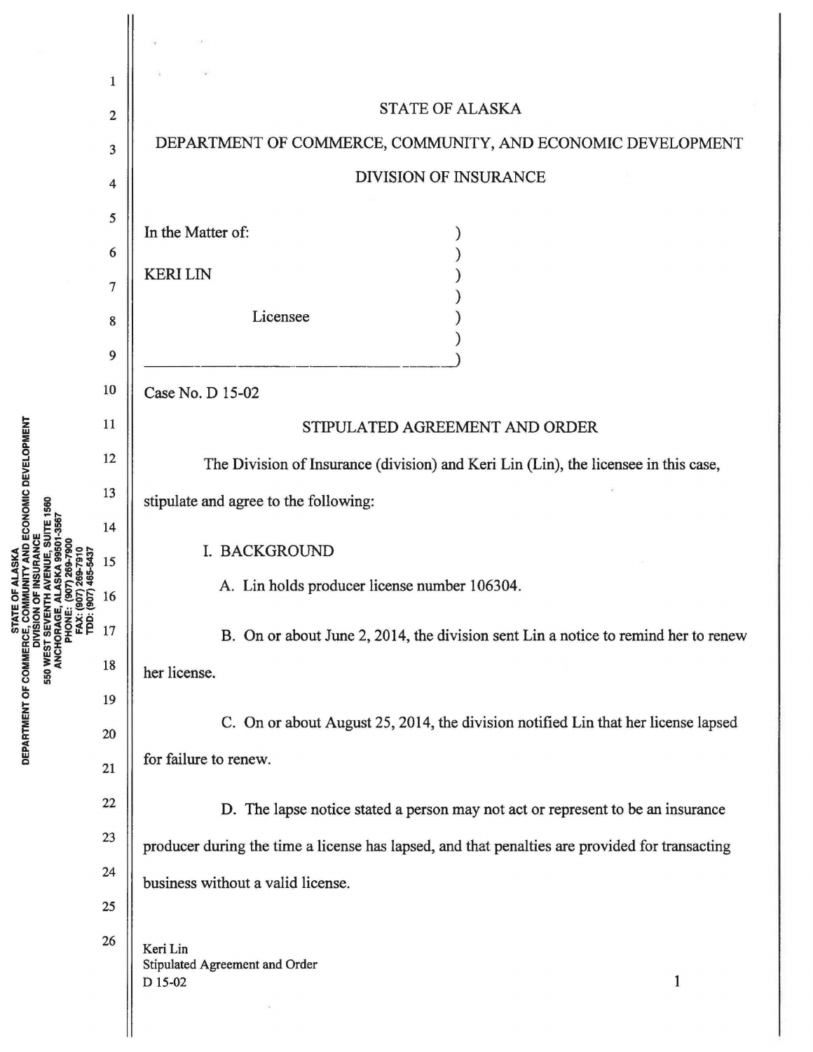|                                                                                                                                         | 1  |                                                                                                |
|-----------------------------------------------------------------------------------------------------------------------------------------|----|------------------------------------------------------------------------------------------------|
| ECONOMIC DEVELOPMENT<br>1560<br>DEPARTMENT OF COMMERCE, COI<br>DIVISION<br>S50 WEST SEVEN<br>ANCHORAGE,<br>PHONE:<br>FAX: (S<br>TDD: (6 | 2  | <b>STATE OF ALASKA</b>                                                                         |
|                                                                                                                                         | 3  | DEPARTMENT OF COMMERCE, COMMUNITY, AND ECONOMIC DEVELOPMENT                                    |
|                                                                                                                                         | 4  | DIVISION OF INSURANCE                                                                          |
|                                                                                                                                         | 5  |                                                                                                |
|                                                                                                                                         | 6  | In the Matter of:                                                                              |
|                                                                                                                                         | 7  | <b>KERILIN</b>                                                                                 |
|                                                                                                                                         | 8  | Licensee                                                                                       |
|                                                                                                                                         | 9  |                                                                                                |
|                                                                                                                                         | 10 | Case No. D 15-02                                                                               |
|                                                                                                                                         | 11 | STIPULATED AGREEMENT AND ORDER                                                                 |
|                                                                                                                                         | 12 | The Division of Insurance (division) and Keri Lin (Lin), the licensee in this case,            |
|                                                                                                                                         | 13 |                                                                                                |
|                                                                                                                                         | 14 | stipulate and agree to the following:                                                          |
|                                                                                                                                         | 15 | I. BACKGROUND                                                                                  |
|                                                                                                                                         | 16 | A. Lin holds producer license number 106304.                                                   |
|                                                                                                                                         | 17 | B. On or about June 2, 2014, the division sent Lin a notice to remind her to renew             |
|                                                                                                                                         | 18 | her license.                                                                                   |
|                                                                                                                                         | 19 |                                                                                                |
|                                                                                                                                         | 20 | C. On or about August 25, 2014, the division notified Lin that her license lapsed              |
|                                                                                                                                         | 21 | for failure to renew.                                                                          |
|                                                                                                                                         | 22 | D. The lapse notice stated a person may not act or represent to be an insurance                |
|                                                                                                                                         | 23 | producer during the time a license has lapsed, and that penalties are provided for transacting |
|                                                                                                                                         | 24 | business without a valid license.                                                              |
|                                                                                                                                         | 25 |                                                                                                |
|                                                                                                                                         | 26 | Keri Lin<br>Stipulated Agreement and Order<br>$\mathbf{1}$<br>D 15-02                          |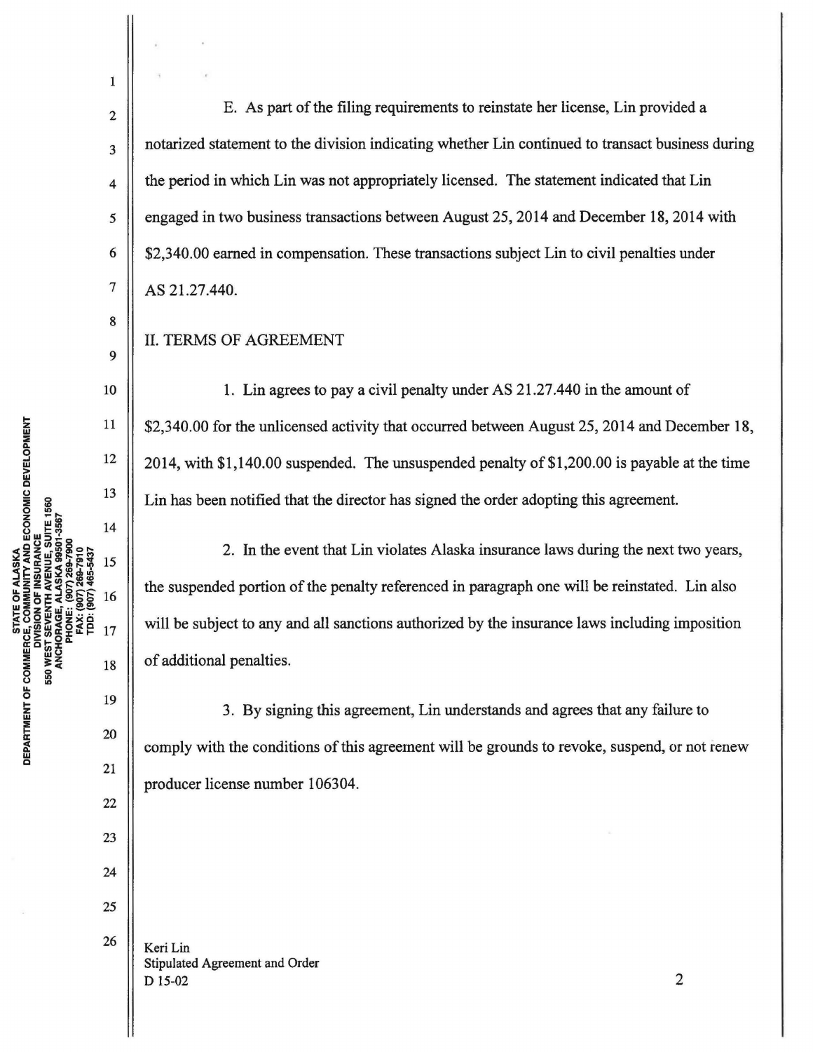1

2

3

4

5

6

7

8

9

10

11

12

13

14

15

16

17

19

18

20

21

22

23

24

25

26

E. As part of the filing requirements to reinstate her license, Lin provided a notarized statement to the division indicating whether Lin continued to transact business during the period in which Lin was not appropriately licensed. The statement indicated that Lin engaged in two business transactions between August 25, 2014 and December 18, 2014 with \$2,340.00 earned in compensation. These transactions subject Lin to civil penalties under AS 21.27.440.

## II. TERMS OF AGREEMENT

1. Lin agrees to pay a civil penalty under AS 21.27.440 in the amount of \$2,340.00 for the unlicensed activity that occurred between August 25, 2014 and December 18, 2014, with \$1,140.00 suspended. The unsuspended penalty of \$1,200.00 is payable at the time Lin has been notified that the director has signed the order adopting this agreement.

2. In the event that Lin violates Alaska insurance laws during the next two years, the suspended portion of the penalty referenced in paragraph one will be reinstated. Lin also will be subject to any and all sanctions authorized by the insurance laws including imposition of additional penalties.

3. By signing this agreement, Lin understands and agrees that any failure to comply with the conditions of this agreement will be grounds to revoke, suspend, or not renew producer license number 106304.

Keri Lin Stipulated Agreement and Order  $D$  15-02 2